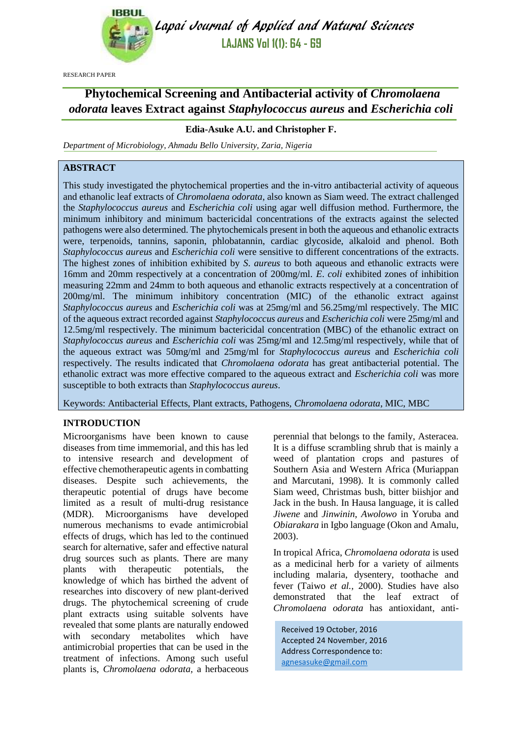

Lapai Journal of Applied and Natural Sciences **LAJANS Vol 1(1): 64 - 69**

RESEARCH PAPER

# **Phytochemical Screening and Antibacterial activity of** *Chromolaena odorata* **leaves Extract against** *Staphylococcus aureus* **and** *Escherichia coli*

# **Edia-Asuke A.U. and Christopher F.**

*Department of Microbiology, Ahmadu Bello University, Zaria, Nigeria*

# **ABSTRACT**

This study investigated the phytochemical properties and the in-vitro antibacterial activity of aqueous and ethanolic leaf extracts of *Chromolaena odorata*, also known as Siam weed. The extract challenged the *Staphylococcus aureus* and *Escherichia coli* using agar well diffusion method. Furthermore, the minimum inhibitory and minimum bactericidal concentrations of the extracts against the selected pathogens were also determined. The phytochemicals present in both the aqueous and ethanolic extracts were, terpenoids, tannins, saponin, phlobatannin, cardiac glycoside, alkaloid and phenol. Both *Staphylococcus aureus* and *Escherichia coli* were sensitive to different concentrations of the extracts. The highest zones of inhibition exhibited by *S*. *aureus* to both aqueous and ethanolic extracts were 16mm and 20mm respectively at a concentration of 200mg/ml. *E*. *coli* exhibited zones of inhibition measuring 22mm and 24mm to both aqueous and ethanolic extracts respectively at a concentration of 200mg/ml. The minimum inhibitory concentration (MIC) of the ethanolic extract against *Staphylococcus aureus* and *Escherichia coli* was at 25mg/ml and 56.25mg/ml respectively. The MIC of the aqueous extract recorded against *Staphylococcus aureus* and *Escherichia coli* were 25mg/ml and 12.5mg/ml respectively. The minimum bactericidal concentration (MBC) of the ethanolic extract on *Staphylococcus aureus* and *Escherichia coli* was 25mg/ml and 12.5mg/ml respectively, while that of the aqueous extract was 50mg/ml and 25mg/ml for *Staphylococcus aureus* and *Escherichia coli* respectively. The results indicated that *Chromolaena odorata* has great antibacterial potential. The ethanolic extract was more effective compared to the aqueous extract and *Escherichia coli* was more susceptible to both extracts than *Staphylococcus aureus*.

Keywords: Antibacterial Effects, Plant extracts, Pathogens, *Chromolaena odorata*, MIC, MBC

# **INTRODUCTION**

Microorganisms have been known to cause diseases from time immemorial, and this has led to intensive research and development of effective chemotherapeutic agents in combatting diseases. Despite such achievements, the therapeutic potential of drugs have become limited as a result of multi-drug resistance (MDR). Microorganisms have developed numerous mechanisms to evade antimicrobial effects of drugs, which has led to the continued search for alternative, safer and effective natural drug sources such as plants. There are many plants with therapeutic potentials, the knowledge of which has birthed the advent of researches into discovery of new plant-derived drugs. The phytochemical screening of crude plant extracts using suitable solvents have revealed that some plants are naturally endowed with secondary metabolites which have antimicrobial properties that can be used in the treatment of infections. Among such useful plants is, *Chromolaena odorata,* a herbaceous perennial that belongs to the family, Asteracea. It is a diffuse scrambling shrub that is mainly a weed of plantation crops and pastures of Southern Asia and Western Africa (Muriappan and Marcutani, 1998). It is commonly called Siam weed, Christmas bush, bitter biishjor and Jack in the bush. In Hausa language, it is called *Jiwene* and *Jinwinin*, *Awolowo* in Yoruba and *Obiarakara* in Igbo language (Okon and Amalu, 2003).

In tropical Africa, *Chromolaena odorata* is used as a medicinal herb for a variety of ailments including malaria, dysentery, toothache and fever (Taiwo *et al.,* 2000). Studies have also demonstrated that the leaf extract of *Chromolaena odorata* has antioxidant, anti-

Received 19 October, 2016 Accepted 24 November, 2016 Address Correspondence to: [agnesasuke@gmail.com](mailto:agnesasuke@gmail.com)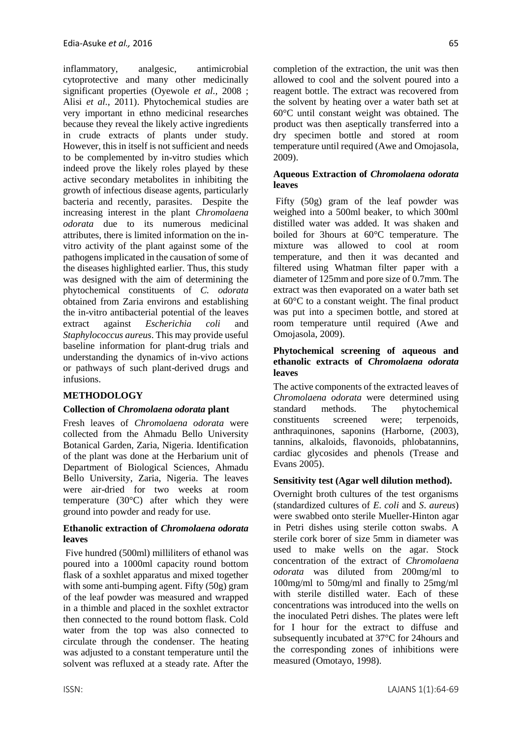inflammatory, analgesic, antimicrobial cytoprotective and many other medicinally significant properties (Oyewole *et al.,* 2008 ; Alisi *et al.,* 2011). Phytochemical studies are very important in ethno medicinal researches because they reveal the likely active ingredients in crude extracts of plants under study. However, this in itself is not sufficient and needs to be complemented by in-vitro studies which indeed prove the likely roles played by these active secondary metabolites in inhibiting the growth of infectious disease agents, particularly bacteria and recently, parasites. Despite the increasing interest in the plant *Chromolaena odorata* due to its numerous medicinal attributes, there is limited information on the invitro activity of the plant against some of the pathogens implicated in the causation of some of the diseases highlighted earlier. Thus, this study was designed with the aim of determining the phytochemical constituents of *C. odorata* obtained from Zaria environs and establishing the in-vitro antibacterial potential of the leaves extract against *Escherichia coli* and *Staphylococcus aureus*. This may provide useful baseline information for plant-drug trials and understanding the dynamics of in-vivo actions or pathways of such plant-derived drugs and infusions.

# **METHODOLOGY**

# **Collection of** *Chromolaena odorata* **plant**

Fresh leaves of *Chromolaena odorata* were collected from the Ahmadu Bello University Botanical Garden, Zaria, Nigeria. Identification of the plant was done at the Herbarium unit of Department of Biological Sciences, Ahmadu Bello University, Zaria, Nigeria. The leaves were air-dried for two weeks at room temperature (30°C) after which they were ground into powder and ready for use.

#### **Ethanolic extraction of** *Chromolaena odorata* **leaves**

Five hundred (500ml) milliliters of ethanol was poured into a 1000ml capacity round bottom flask of a soxhlet apparatus and mixed together with some anti-bumping agent. Fifty (50g) gram of the leaf powder was measured and wrapped in a thimble and placed in the soxhlet extractor then connected to the round bottom flask. Cold water from the top was also connected to circulate through the condenser. The heating was adjusted to a constant temperature until the solvent was refluxed at a steady rate. After the completion of the extraction, the unit was then allowed to cool and the solvent poured into a reagent bottle. The extract was recovered from

the solvent by heating over a water bath set at 60°C until constant weight was obtained. The product was then aseptically transferred into a dry specimen bottle and stored at room temperature until required (Awe and Omojasola, 2009).

#### **Aqueous Extraction of** *Chromolaena odorata* **leaves**

Fifty (50g) gram of the leaf powder was weighed into a 500ml beaker, to which 300ml distilled water was added. It was shaken and boiled for 3hours at 60°C temperature. The mixture was allowed to cool at room temperature, and then it was decanted and filtered using Whatman filter paper with a diameter of 125mm and pore size of 0.7mm. The extract was then evaporated on a water bath set at 60°C to a constant weight. The final product was put into a specimen bottle, and stored at room temperature until required (Awe and Omojasola, 2009).

#### **Phytochemical screening of aqueous and ethanolic extracts of** *Chromolaena odorata*  **leaves**

The active components of the extracted leaves of *Chromolaena odorata* were determined using standard methods. The phytochemical constituents screened were; terpenoids, anthraquinones, saponins (Harborne, (2003), tannins, alkaloids, flavonoids, phlobatannins, cardiac glycosides and phenols (Trease and Evans 2005).

# **Sensitivity test (Agar well dilution method).**

Overnight broth cultures of the test organisms (standardized cultures of *E*. *coli* and *S*. *aureus*) were swabbed onto sterile Mueller-Hinton agar in Petri dishes using sterile cotton swabs. A sterile cork borer of size 5mm in diameter was used to make wells on the agar. Stock concentration of the extract of *Chromolaena odorata* was diluted from 200mg/ml to 100mg/ml to 50mg/ml and finally to 25mg/ml with sterile distilled water. Each of these concentrations was introduced into the wells on the inoculated Petri dishes. The plates were left for I hour for the extract to diffuse and subsequently incubated at 37°C for 24hours and the corresponding zones of inhibitions were measured (Omotayo, 1998).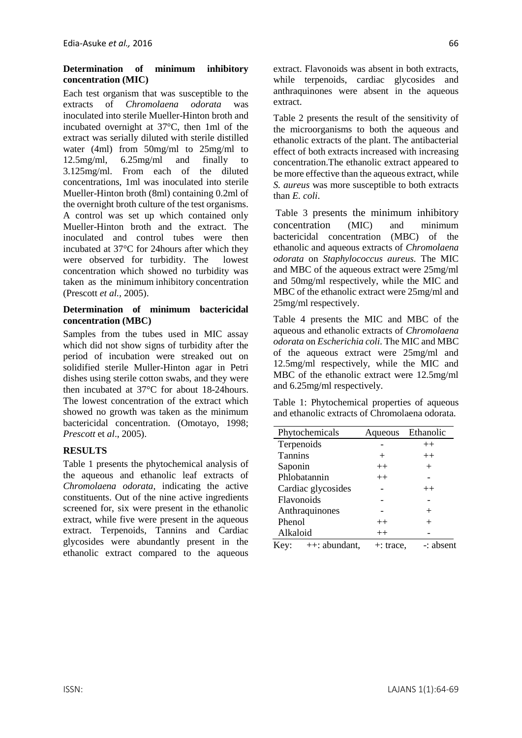#### **Determination of minimum inhibitory concentration (MIC)**

Each test organism that was susceptible to the extracts of *Chromolaena odorata* was inoculated into sterile Mueller-Hinton broth and incubated overnight at 37°C, then 1ml of the extract was serially diluted with sterile distilled water (4ml) from 50mg/ml to 25mg/ml to 12.5mg/ml, 6.25mg/ml and finally to 3.125mg/ml. From each of the diluted concentrations, 1ml was inoculated into sterile Mueller-Hinton broth (8ml) containing 0.2ml of the overnight broth culture of the test organisms. A control was set up which contained only Mueller-Hinton broth and the extract. The inoculated and control tubes were then incubated at 37°C for 24hours after which they were observed for turbidity. The lowest concentration which showed no turbidity was taken as the minimum inhibitory concentration (Prescott *et al.,* 2005).

#### **Determination of minimum bactericidal concentration (MBC)**

Samples from the tubes used in MIC assay which did not show signs of turbidity after the period of incubation were streaked out on solidified sterile Muller-Hinton agar in Petri dishes using sterile cotton swabs, and they were then incubated at 37°C for about 18-24hours. The lowest concentration of the extract which showed no growth was taken as the minimum bactericidal concentration. (Omotayo, 1998; *Prescott* et *al*., 2005).

# **RESULTS**

Table 1 presents the phytochemical analysis of the aqueous and ethanolic leaf extracts of *Chromolaena odorata*, indicating the active constituents. Out of the nine active ingredients screened for, six were present in the ethanolic extract, while five were present in the aqueous extract. Terpenoids, Tannins and Cardiac glycosides were abundantly present in the ethanolic extract compared to the aqueous extract. Flavonoids was absent in both extracts, while terpenoids, cardiac glycosides and anthraquinones were absent in the aqueous extract.

Table 2 presents the result of the sensitivity of the microorganisms to both the aqueous and ethanolic extracts of the plant. The antibacterial effect of both extracts increased with increasing concentration.The ethanolic extract appeared to be more effective than the aqueous extract, while *S. aureus* was more susceptible to both extracts than *E. coli*.

Table 3 presents the minimum inhibitory concentration (MIC) and minimum bactericidal concentration (MBC) of the ethanolic and aqueous extracts of *Chromolaena odorata* on *Staphylococcus aureus.* The MIC and MBC of the aqueous extract were 25mg/ml and 50mg/ml respectively, while the MIC and MBC of the ethanolic extract were 25mg/ml and 25mg/ml respectively.

Table 4 presents the MIC and MBC of the aqueous and ethanolic extracts of *Chromolaena odorata* on *Escherichia coli*. The MIC and MBC of the aqueous extract were 25mg/ml and 12.5mg/ml respectively, while the MIC and MBC of the ethanolic extract were 12.5mg/ml and 6.25mg/ml respectively.

Table 1: Phytochemical properties of aqueous and ethanolic extracts of Chromolaena odorata.

| Phytochemicals       |              | Aqueous Ethanolic |
|----------------------|--------------|-------------------|
| Terpenoids           |              | $++$              |
| <b>Tannins</b>       | $^{+}$       | $++$              |
| Saponin              | $++$         | $^{+}$            |
| Phlobatannin         | $++$         |                   |
| Cardiac glycosides   |              | $++$              |
| Flavonoids           |              |                   |
| Anthraquinones       |              | $^{+}$            |
| Phenol               | $++$         | $^{+}$            |
| Alkaloid             | $++$         |                   |
| Key: $++:$ abundant, | $+$ : trace, | -: absent         |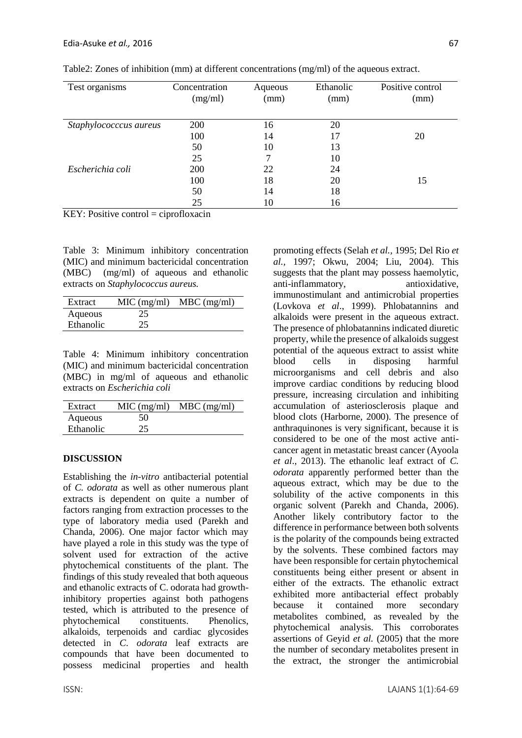| Test organisms         | Concentration<br>(mg/ml) | Aqueous<br>(mm) | Ethanolic<br>(mm) | Positive control<br>(mm) |
|------------------------|--------------------------|-----------------|-------------------|--------------------------|
| Staphylococccus aureus | 200                      | 16              | 20                |                          |
|                        | 100                      | 14              | 17                | 20                       |
|                        | 50                       | 10              | 13                |                          |
|                        | 25                       | ℸ               | 10                |                          |
| Escherichia coli       | 200                      | 22              | 24                |                          |
|                        | 100                      | 18              | 20                | 15                       |
|                        | 50                       | 14              | 18                |                          |
|                        | 25                       | 10              | 16                |                          |

Table2: Zones of inhibition (mm) at different concentrations (mg/ml) of the aqueous extract.

 $KEY: Positive control = ciproflox (or)$ 

Table 3: Minimum inhibitory concentration (MIC) and minimum bactericidal concentration (MBC) (mg/ml) of aqueous and ethanolic extracts on *Staphylococcus aureus.*

| Extract   | MIC (mg/ml) | $MBC$ (mg/ml) |
|-----------|-------------|---------------|
| Aqueous   | 25          |               |
| Ethanolic | 25          |               |

Table 4: Minimum inhibitory concentration (MIC) and minimum bactericidal concentration (MBC) in mg/ml of aqueous and ethanolic extracts on *Escherichia coli*

| Extract   | MIC (mg/ml) | $MBC$ (mg/ml) |
|-----------|-------------|---------------|
| Aqueous   | 50          |               |
| Ethanolic | 25          |               |

# **DISCUSSION**

Establishing the *in-vitro* antibacterial potential of *C. odorata* as well as other numerous plant extracts is dependent on quite a number of factors ranging from extraction processes to the type of laboratory media used (Parekh and Chanda, 2006). One major factor which may have played a role in this study was the type of solvent used for extraction of the active phytochemical constituents of the plant. The findings of this study revealed that both aqueous and ethanolic extracts of C. odorata had growthinhibitory properties against both pathogens tested, which is attributed to the presence of phytochemical constituents. Phenolics, alkaloids, terpenoids and cardiac glycosides detected in *C*. *odorata* leaf extracts are compounds that have been documented to possess medicinal properties and health promoting effects (Selah *et al.,* 1995; Del Rio *et al.,* 1997; Okwu, 2004; Liu, 2004). This suggests that the plant may possess haemolytic, anti-inflammatory, antioxidative, immunostimulant and antimicrobial properties (Lovkova *et al*., 1999). Phlobatannins and alkaloids were present in the aqueous extract. The presence of phlobatannins indicated diuretic property, while the presence of alkaloids suggest potential of the aqueous extract to assist white blood cells in disposing harmful microorganisms and cell debris and also improve cardiac conditions by reducing blood pressure, increasing circulation and inhibiting accumulation of asteriosclerosis plaque and blood clots (Harborne, 2000). The presence of anthraquinones is very significant, because it is considered to be one of the most active anticancer agent in metastatic breast cancer (Ayoola *et al*., 2013). The ethanolic leaf extract of *C. odorata* apparently performed better than the aqueous extract, which may be due to the solubility of the active components in this organic solvent (Parekh and Chanda, 2006). Another likely contributory factor to the difference in performance between both solvents is the polarity of the compounds being extracted by the solvents. These combined factors may have been responsible for certain phytochemical constituents being either present or absent in either of the extracts. The ethanolic extract exhibited more antibacterial effect probably because it contained more secondary metabolites combined, as revealed by the phytochemical analysis. This corroborates assertions of Geyid *et al.* (2005) that the more the number of secondary metabolites present in the extract, the stronger the antimicrobial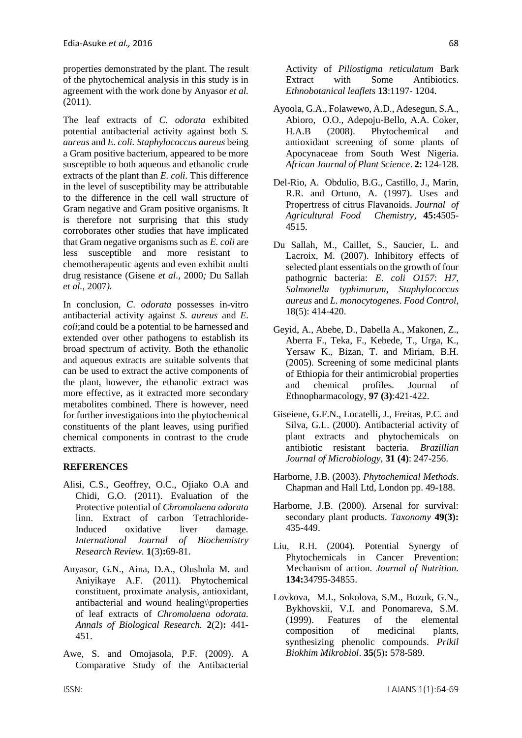properties demonstrated by the plant. The result of the phytochemical analysis in this study is in agreement with the work done by Anyasor *et al.*  (2011).

The leaf extracts of *C. odorata* exhibited potential antibacterial activity against both *S. aureus* and *E. coli. Staphylococcus aureus* being a Gram positive bacterium, appeared to be more susceptible to both aqueous and ethanolic crude extracts of the plant than *E. coli*. This difference in the level of susceptibility may be attributable to the difference in the cell wall structure of Gram negative and Gram positive organisms. It is therefore not surprising that this study corroborates other studies that have implicated that Gram negative organisms such as *E. coli* are less susceptible and more resistant to chemotherapeutic agents and even exhibit multi drug resistance (Gisene *et al.,* 2000*;* Du Sallah *et al.,* 2007*).* 

In conclusion, *C*. *odorata* possesses in-vitro antibacterial activity against *S*. *aureus* and *E*. *coli*;and could be a potential to be harnessed and extended over other pathogens to establish its broad spectrum of activity. Both the ethanolic and aqueous extracts are suitable solvents that can be used to extract the active components of the plant, however, the ethanolic extract was more effective, as it extracted more secondary metabolites combined. There is however, need for further investigations into the phytochemical constituents of the plant leaves, using purified chemical components in contrast to the crude extracts.

# **REFERENCES**

- Alisi, C.S., Geoffrey, O.C., Ojiako O.A and Chidi, G.O. (2011). Evaluation of the Protective potential of *Chromolaena odorata* linn. Extract of carbon Tetrachloride-Induced oxidative liver damage. *International Journal of Biochemistry Research Review.* **1**(3)**:**69-81.
- Anyasor, G.N., Aina, D.A., Olushola M. and Aniyikaye A.F. (2011). Phytochemical constituent, proximate analysis, antioxidant, antibacterial and wound healing\\properties of leaf extracts of *Chromolaena odorata. Annals of Biological Research.* **2**(2)**:** 441- 451.
- Awe, S. and Omojasola, P.F. (2009). A Comparative Study of the Antibacterial

Activity of *Piliostigma reticulatum* Bark Extract with Some Antibiotics. *Ethnobotanical leaflets* **13**:1197- 1204.

- Ayoola, G.A., Folawewo, A.D., Adesegun, S.A., Abioro, O.O., Adepoju-Bello, A.A. Coker, H.A.B (2008). Phytochemical and antioxidant screening of some plants of Apocynaceae from South West Nigeria. *African Journal of Plant Science*. **2:** 124-128.
- Del-Rio, A. Obdulio, B.G., Castillo, J., Marin, R.R. and Ortuno, A. (1997). Uses and Propertress of citrus Flavanoids. *Journal of Agricultural Food Chemistry,* **45:**4505- 4515.
- Du Sallah, M., Caillet, S., Saucier, L. and Lacroix, M. (2007). Inhibitory effects of selected plant essentials on the growth of four pathogrnic bacteria: *E*. *coli O157*: *H7*, *Salmonella typhimurum*, *Staphylococcus aureus* and *L*. *monocytogenes*. *Food Control*, 18(5): 414-420.
- Geyid, A., Abebe, D., Dabella A., Makonen, Z., Aberra F., Teka, F., Kebede, T., Urga, K., Yersaw K., Bizan, T. and Miriam, B.H. (2005). Screening of some medicinal plants of Ethiopia for their antimicrobial properties and chemical profiles. Journal of Ethnopharmacology, **97 (3)**:421-422.
- Giseiene, G.F.N., Locatelli, J., Freitas, P.C. and Silva, G.L. (2000). Antibacterial activity of plant extracts and phytochemicals on antibiotic resistant bacteria. *Brazillian Journal of Microbiology*, **31 (4)**: 247-256.
- Harborne, J.B. (2003). *Phytochemical Methods*. Chapman and Hall Ltd, London pp. 49-188.
- Harborne, J.B. (2000). Arsenal for survival: secondary plant products. *Taxonomy* **49(3):** 435-449.
- Liu, R.H. (2004). Potential Synergy of Phytochemicals in Cancer Prevention: Mechanism of action. *Journal of Nutrition.* **134:**34795-34855.
- Lovkova, M.I., Sokolova, S.M., Buzuk, G.N., Bykhovskii, V.I. and Ponomareva, S.M. (1999). Features of the elemental composition of medicinal plants, synthesizing phenolic compounds. *Prikil Biokhim Mikrobiol*. **35**(5)**:** 578-589.